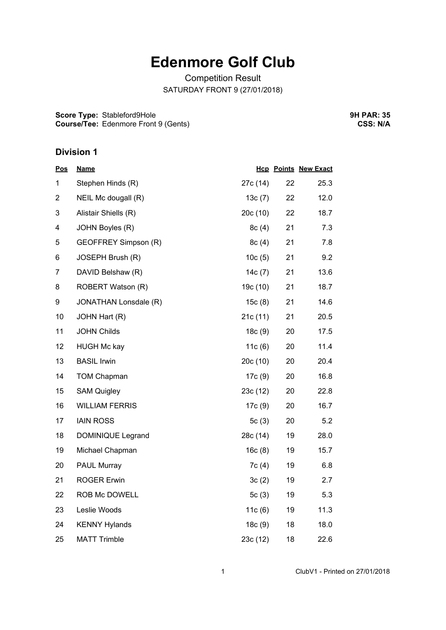# **Edenmore Golf Club**

Competition Result SATURDAY FRONT 9 (27/01/2018)

**Score Type:** Stableford9Hole **Course/Tee:** Edenmore Front 9 (Gents) **9H PAR: 35 CSS: N/A**

#### **Division 1**

| <b>Pos</b>     | <u>Name</u>           |           |    | <b>Hcp Points New Exact</b> |
|----------------|-----------------------|-----------|----|-----------------------------|
| 1              | Stephen Hinds (R)     | 27c (14)  | 22 | 25.3                        |
| $\overline{2}$ | NEIL Mc dougall (R)   | 13c(7)    | 22 | 12.0                        |
| 3              | Alistair Shiells (R)  | 20c(10)   | 22 | 18.7                        |
| 4              | JOHN Boyles (R)       | 8c(4)     | 21 | 7.3                         |
| 5              | GEOFFREY Simpson (R)  | 8c(4)     | 21 | 7.8                         |
| 6              | JOSEPH Brush (R)      | 10c(5)    | 21 | 9.2                         |
| 7              | DAVID Belshaw (R)     | 14 $c(7)$ | 21 | 13.6                        |
| 8              | ROBERT Watson (R)     | 19c (10)  | 21 | 18.7                        |
| 9              | JONATHAN Lonsdale (R) | 15c(8)    | 21 | 14.6                        |
| 10             | JOHN Hart (R)         | 21c(11)   | 21 | 20.5                        |
| 11             | <b>JOHN Childs</b>    | 18c(9)    | 20 | 17.5                        |
| 12             | <b>HUGH Mc kay</b>    | 11 $c(6)$ | 20 | 11.4                        |
| 13             | <b>BASIL Irwin</b>    | 20c(10)   | 20 | 20.4                        |
| 14             | <b>TOM Chapman</b>    | 17c (9)   | 20 | 16.8                        |
| 15             | <b>SAM Quigley</b>    | 23c(12)   | 20 | 22.8                        |
| 16             | <b>WILLIAM FERRIS</b> | 17c (9)   | 20 | 16.7                        |
| 17             | <b>IAIN ROSS</b>      | 5 $c(3)$  | 20 | 5.2                         |
| 18             | DOMINIQUE Legrand     | 28c (14)  | 19 | 28.0                        |
| 19             | Michael Chapman       | 16c(8)    | 19 | 15.7                        |
| 20             | <b>PAUL Murray</b>    | 7c(4)     | 19 | 6.8                         |
| 21             | <b>ROGER Erwin</b>    | 3c(2)     | 19 | 2.7                         |
| 22             | ROB Mc DOWELL         | 5 $c(3)$  | 19 | 5.3                         |
| 23             | Leslie Woods          | 11c(6)    | 19 | 11.3                        |
| 24             | <b>KENNY Hylands</b>  | 18c(9)    | 18 | 18.0                        |
| 25             | <b>MATT Trimble</b>   | 23c(12)   | 18 | 22.6                        |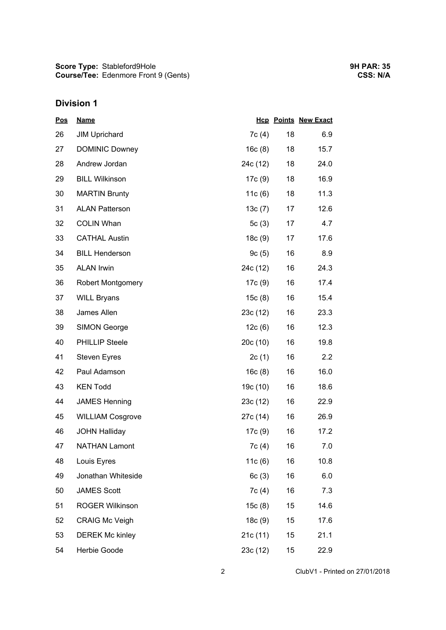## **Division 1**

| <b>Pos</b> | <b>Name</b>              |           |    | <b>Hcp Points New Exact</b> |
|------------|--------------------------|-----------|----|-----------------------------|
| 26         | <b>JIM Uprichard</b>     | 7c(4)     | 18 | 6.9                         |
| 27         | <b>DOMINIC Downey</b>    | 16c(8)    | 18 | 15.7                        |
| 28         | Andrew Jordan            | 24c (12)  | 18 | 24.0                        |
| 29         | <b>BILL Wilkinson</b>    | 17c (9)   | 18 | 16.9                        |
| 30         | <b>MARTIN Brunty</b>     | 11c(6)    | 18 | 11.3                        |
| 31         | <b>ALAN Patterson</b>    | 13c(7)    | 17 | 12.6                        |
| 32         | <b>COLIN Whan</b>        | 5c(3)     | 17 | 4.7                         |
| 33         | <b>CATHAL Austin</b>     | 18c(9)    | 17 | 17.6                        |
| 34         | <b>BILL Henderson</b>    | 9c(5)     | 16 | 8.9                         |
| 35         | <b>ALAN Irwin</b>        | 24c (12)  | 16 | 24.3                        |
| 36         | <b>Robert Montgomery</b> | 17c (9)   | 16 | 17.4                        |
| 37         | <b>WILL Bryans</b>       | 15c(8)    | 16 | 15.4                        |
| 38         | James Allen              | 23c(12)   | 16 | 23.3                        |
| 39         | <b>SIMON George</b>      | 12c(6)    | 16 | 12.3                        |
| 40         | <b>PHILLIP Steele</b>    | 20c(10)   | 16 | 19.8                        |
| 41         | <b>Steven Eyres</b>      | 2c(1)     | 16 | 2.2                         |
| 42         | Paul Adamson             | 16c(8)    | 16 | 16.0                        |
| 43         | <b>KEN Todd</b>          | 19c (10)  | 16 | 18.6                        |
| 44         | <b>JAMES Henning</b>     | 23c(12)   | 16 | 22.9                        |
| 45         | <b>WILLIAM Cosgrove</b>  | 27c (14)  | 16 | 26.9                        |
| 46         | <b>JOHN Halliday</b>     | 17c (9)   | 16 | 17.2                        |
| 47         | <b>NATHAN Lamont</b>     | 7c(4)     | 16 | 7.0                         |
| 48         | Louis Eyres              | 11 $c(6)$ | 16 | 10.8                        |
| 49         | Jonathan Whiteside       | 6c(3)     | 16 | 6.0                         |
| 50         | <b>JAMES Scott</b>       | 7c(4)     | 16 | 7.3                         |
| 51         | <b>ROGER Wilkinson</b>   | 15c(8)    | 15 | 14.6                        |
| 52         | <b>CRAIG Mc Veigh</b>    | 18c(9)    | 15 | 17.6                        |
| 53         | <b>DEREK Mc kinley</b>   | 21c (11)  | 15 | 21.1                        |
| 54         | Herbie Goode             | 23c (12)  | 15 | 22.9                        |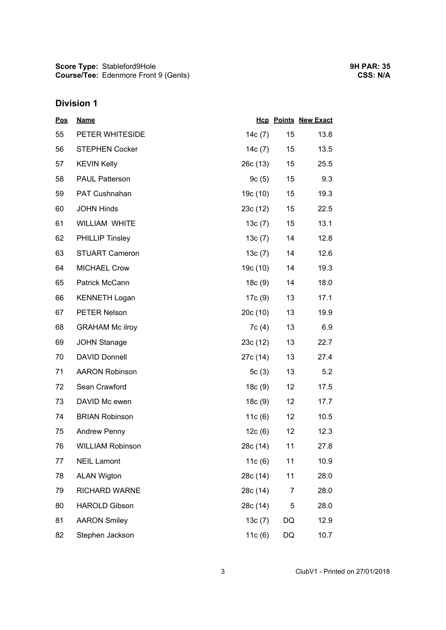**Score Type: Course/Tee:** Stableford9Hole Edenmore Front 9 (Gents)

## **Division 1**

| <b>Pos</b> | <b>Name</b>             |           |                  | <b>Hcp Points New Exact</b> |
|------------|-------------------------|-----------|------------------|-----------------------------|
| 55         | PETER WHITESIDE         | 14 $c(7)$ | 15               | 13.8                        |
| 56         | <b>STEPHEN Cocker</b>   | 14c (7)   | 15 <sub>15</sub> | 13.5                        |
| 57         | <b>KEVIN Kelly</b>      | 26c(13)   | 15               | 25.5                        |
| 58         | <b>PAUL Patterson</b>   | 9c(5)     | 15               | 9.3                         |
| 59         | PAT Cushnahan           | 19c (10)  | 15               | 19.3                        |
| 60         | <b>JOHN Hinds</b>       | 23c (12)  | 15               | 22.5                        |
| 61         | WILLIAM WHITE           | 13c(7)    | 15               | 13.1                        |
| 62         | <b>PHILLIP Tinsley</b>  | 13c(7)    | 14               | 12.8                        |
| 63         | <b>STUART Cameron</b>   | 13c(7)    | 14               | 12.6                        |
| 64         | <b>MICHAEL Crow</b>     | 19c (10)  | 14               | 19.3                        |
| 65         | Patrick McCann          | 18c (9)   | 14               | 18.0                        |
| 66         | <b>KENNETH Logan</b>    | 17c (9)   | 13               | 17.1                        |
| 67         | <b>PETER Nelson</b>     | 20c(10)   | 13               | 19.9                        |
| 68         | <b>GRAHAM Mc ilroy</b>  | 7c (4)    | 13               | 6.9                         |
| 69         | <b>JOHN Stanage</b>     | 23c(12)   | 13               | 22.7                        |
| 70         | <b>DAVID Donnell</b>    | 27c (14)  | 13               | 27.4                        |
| 71         | <b>AARON Robinson</b>   | 5c(3)     | 13               | 5.2                         |
| 72         | Sean Crawford           | 18c (9)   | 12 <sub>2</sub>  | 17.5                        |
| 73         | DAVID Mc ewen           | 18c(9)    | 12 <sub>2</sub>  | 17.7                        |
| 74         | <b>BRIAN Robinson</b>   | 11 $c(6)$ | 12 <sub>2</sub>  | 10.5                        |
| 75         | <b>Andrew Penny</b>     | 12c(6)    | 12 <sub>2</sub>  | 12.3                        |
| 76         | <b>WILLIAM Robinson</b> | 28c (14)  | 11               | 27.8                        |
| 77         | <b>NEIL Lamont</b>      | 11c(6)    | 11               | 10.9                        |
| 78         | <b>ALAN Wigton</b>      | 28c (14)  | 11               | 28.0                        |
| 79         | <b>RICHARD WARNE</b>    | 28c (14)  | 7                | 28.0                        |
| 80         | <b>HAROLD Gibson</b>    | 28c (14)  | 5                | 28.0                        |
| 81         | <b>AARON Smiley</b>     | 13c(7)    | DQ               | 12.9                        |
| 82         | Stephen Jackson         | 11 $c(6)$ | DQ               | 10.7                        |